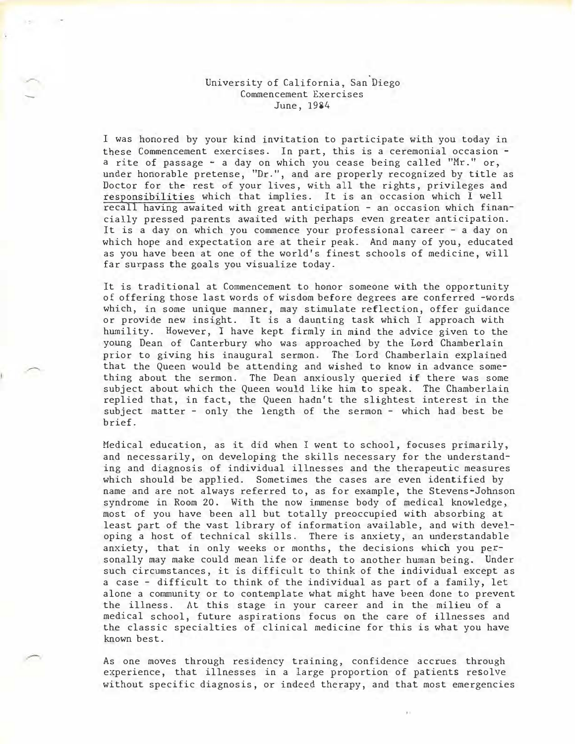## University of California, San Diego Commencement Exercises June, 1984

-

I was honored by your kind invitation to participate with you today in these Commencement exercises. In part, this is a ceremonial occasion a rite of passage - a day on which you cease being called "Mr:." or, under honorable pretense, "Dr.", and are properly recognized by title as Doctor for the rest of your lives, with all the rights, privileges and responsibilities which that implies. It is an occasion which I well recall having awaited with great anticipation - an occasion which financially pressed parents awaited with perhaps even greater anticipation. It is a day on which you commence your professional career - a day on which hope and expectation are at their peak. And many of you, educated as you have been at one of the world's finest schools of medicine, will far surpass the goals you visualize today.

It is traditional at Commencement to honor someone with the opportunity of offering those last words of wisdom before degrees are conferred -words which, in some unique manner, may stimulate reflection, offer guidance or provide new insight. It is a daunting task which I approach with humility. However, I have kept firmly in mind the advice given to the young Dean of Canterbury who was approached by the Lord Chamberlain prior to giving his inaugural sermon. The Lord Chamberlain explained that the Queen would be attending and wished to know in advance something about the sermon. The Dean anxiously queried if there was some subject about which the Queen would like him to speak. The Chamberlain replied that, in fact, the Queen hadn't the slightest interest in the subject matter - only the length of the sermon - which had best be brief.

Medical education, as it did when I went to school, focuses primarily, and necessarily, on developing the skills necessary for the understanding and diagnosis of individual illnesses and the therapeutic measures which should be applied. Sometimes the cases are even identified by name and are not always referred to, as for example, the Stevens-Johnson syndrome in Room 20. With the now inunense body of medical knowledge, most of you have been all but totally preoccupied with absorbing at least part of the vast library of information available, and with developing a host of technical skills. There is anxiety, an understandable anxiety, that in only weeks or months, the decisions which you personally may make could mean life or death to another human being. Under such circumstances, it is difficult to think of the individual except as a case - difficult to think of the individual as part of a family, let alone a community or to contemplate what might have been done to prevent the illness. At this stage in your career and in the milieu of a medical school, future aspirations focus on the care of illnesses and the classic specialties of clinical medicine for this is what you have known best.

As one moves through residency training, confidence accrues through experience, that illnesses in a large proportion of patients resolve without specific diagnosis, or indeed therapy, and that most emergencies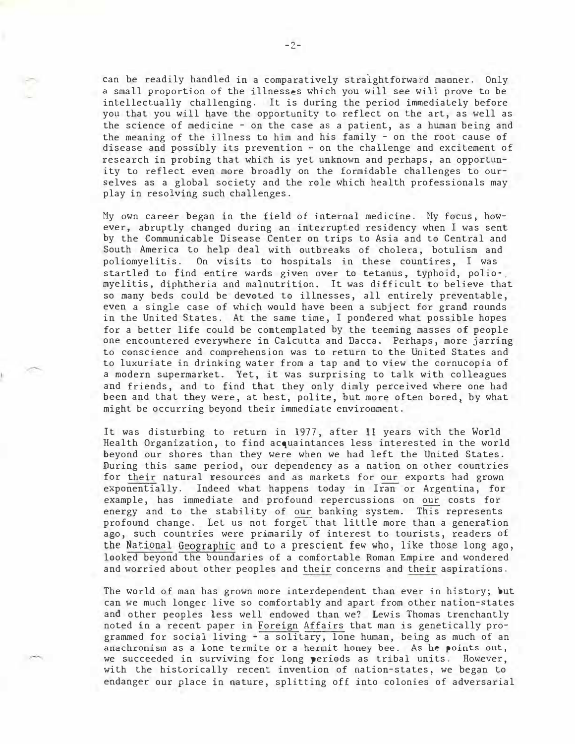can be readily handled in a comparatively straightforward manner. Only a small proportion of the illnesses which you will see will prove to be intellectually challenging. It is during the period immediately before you that you will have the opportunity to reflect on the art, as well as the science of medicine - on the case as a patient, as a human being and the meaning of the illness to him and his family - on the root cause of disease and possibly its prevention - on the challenge and excitement of research in probing that which is yet unknown and perhaps, an opportunity to reflect even more broadly on the formidable challenges to ourselves as a global society and the role which health professionals may play in resolving such challenges.

Hy own career began in the field of internal medicine. Hy focus, however, abruptly changed during an interrupted residency when I was sent by the Communicable Disease Center on trips to Asia and to Central and South America to help deal with outbreaks of cholera, botulism and poliomyelitis. On visits to hospitals in these countires, I was startled to find entire wards given over to tetanus, typhoid, polio-, myelitis, diphtheria and malnutrition. It was difficult to believe that so many beds could be devoted to illnesses, all entirely preventable, even a single case of which would have been a subject for grand rounds in the United States. At the same time, I pondered what possible hopes for a better life could be contemplated by the teeming masses of people one encountered everywhere in Calcutta and Dacca. Perhaps, more jarring to conscience and comprehension was to return to the United States and to luxuriate in drinking water from a tap and to view the cornucopia of a modern supermarket. Yet, it was surprising to talk with colleagues and friends, and to find that they only dimly perceived where one had been and that they were, at best, polite, but more often bored, by what might be occurring beyond their immediate environment.

It was disturbing to return in 1977, after 11 years with the World Health Organization, to find acquaintances less interested in the world beyond our shores than they were when we had left the United States. During this same period, our dependency as a nation on other countries for their natural resources and as markets for our exports had grown exponentially. Indeed what happens today in Iran or Argentina, for example, has immediate and profound repercussions on our costs for energy and to the stability of our banking system. This represents profound change. Let us not forget that little more than a generation ago, such countries were primarily of interest to tourists, readers of the Natipnal Geographic and to a prescient few who, like those long ago, looked beyond the boundaries of a comfortable Roman Empire and wondered and worried about other peoples and their concerns and their aspirations.

The world of man has grown more interdependent than ever in history; but can we much longer live so comfortably and apart from other nation-states and other peoples less well endowed than we? Lewis Thomas trenchantly noted in a recent paper in Foreign Affairs that man is genetically programmed for social living - a solitary, lone human, being as much of an anachronism as a lone termite or a hermit honey bee. As he points out, we succeeded in surviving for long periods as tribal units. However, with the historically recent invention of nation-states, we began to endanger our place in nature, splitting off into colonies of adversarial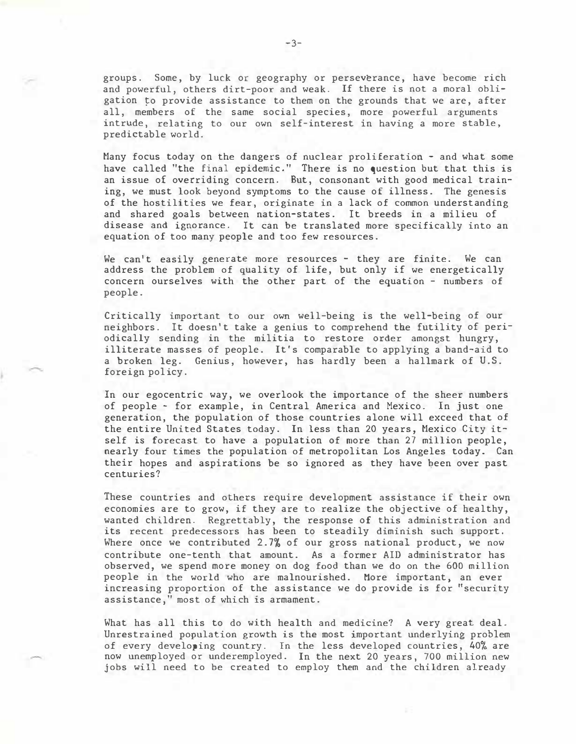groups. Some, by luck or geography or perseverance, have become rich and powerful, others dirt-poor and weak. If there is not a moral obligation �o provide assistance to them on the grounds that we are, after all, members of the same social species, more powerful arguments intrude, relating to our own self-interest in having a more stable, predictable world.

Many focus today on the dangers of nuclear proliferation - and what some have called "the final epidemic." There is no question but that this is an issue of overriding concern. But, consonant with good medical training, we must look beyond symptoms to the cause of illness. The genesis of the hostilities we fear, originate in a lack of common understanding and shared goals between nation-states. It breeds in a milieu of disease and ignorance. It can be translated more specifically into an equation of too many people and too few resources.

We can't easily generate more resources - they are finite. We can address the problem of quality of life, but only if we energetically concern ourselves with the other part of the equation - numbers of people.

Critically important to our own well-being is the well-being of our neighbors. It doesn't take a genius to comprehend the futility of periodically sending in the militia to restore order amongst hungry, illiterate masses of people. It's comparable to applying a band-aid to a broken leg. Genius, however, has hardly been a hallmark of U.S. foreign policy.

In our egocentric way, we overlook the importance of the sheer numbers of people - for example, in Central America and Mexico. In just one generation, the population of those countries alone will exceed that of the entire United States today. In less than 20 years, Mexico City itself is forecast to have a population of more than 27 million people, nearly four times the population of metropolitan Los Angeles today. Can their hopes and aspirations be so ignored as they have been over past centuries?

These countries and others require development assistance if their own economies are to grow, if they are to realize the objective of healthy, wanted children. Regrettably, the response of this administration and its recent predecessors has been to steadily diminish such support. Where once we contributed 2.7% of our gross national product, we now contribute one-tenth that amount. As a former AID administrator has observed, we spend more money on dog food than we do on the 600 million people in the world who are malnourished. More important, an ever increasing proportion of the assistance we do provide is for "security assistance," most of which is armament.

What has all this to do with health and medicine? A very great deal. Unrestrained population growth is the most important underlying problem of every developing country. In the less developed countries, 40% are now unemployed or underemployed. In the next 20 years, 700 million new jobs will need to be created to employ them and the children already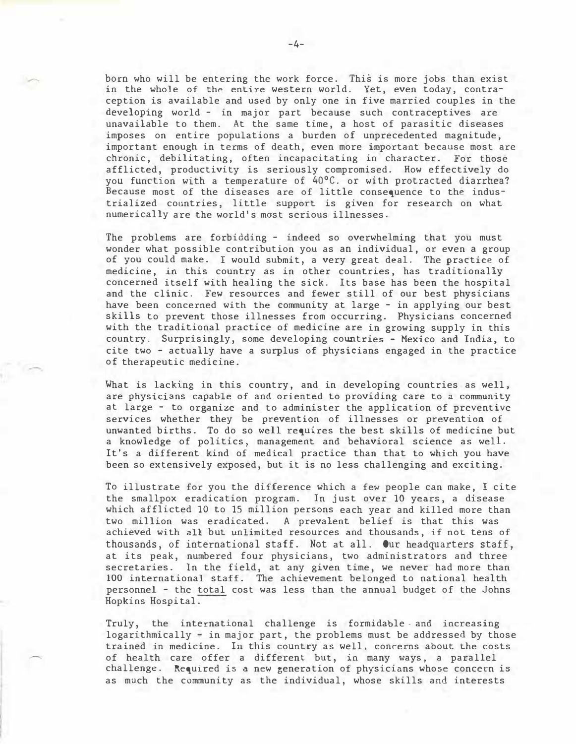born who will be entering the work force. This is more jobs than exist in the whole of the entire western world. Yet, even today, contraception is available and used by only one in five married couples in the developing world - in major part because such contraceptives are unavailable to them. At the same time, a host of parasitic diseases imposes on entire populations a burden of unprecedented magnitude, important enough in terms of death, even more important because most are chronic, debilitating, often incapacitating in character. For those afflicted, productivity is seriously compromised. How effectively do you function with a temperature of 40°C. or with protracted diarrhea? Because most of the diseases are of little consequence to the industrialized countries, little support is given for research on what numerically are the world's mast serious illnesses.

The problems are forbidding - indeed so overwhelming that you must wonder what possible contribution you as an individual, or even a group of you could make. I would submit, a very great deal. The practice of medicine, in this country as in other countries, has traditionally concerned itself with healing the sick. Its base has been the hospital and the clinic. Few resources and fewer still of our best physicians have been concerned with the community at large - in applying our best skills to prevent those illnesses from occurring. Physicians concerned with the traditional practice of medicine are in growing supply in this country. Surprisingly, some developing countries - Mexico and India, to cite two - actually have a surplus of physicians engaged in the practice of therapeutic medicine.

What is lacking in this country, and in developing countries as well, are physicians capable of and oriented to providing care to a community at large - to organize and to administer the application of preventive services whether they be prevention of illnesses or prevention of unwanted births. To do so well requires the best skills of medicine but a knowledge of politics, management and behavioral science as well. It's a different kind of medical practice than that to which you have been so extensively exposed, but it is no less challenging and exciting.

To illustrate for you the difference which a few people can make, I cite the smallpox eradication program. In just over 10 years, a disease which afflicted 10 to 15 million persons each year and killed more than two million was eradicated. A prevalent belief is that this was achieved with all but unlimited resources and thousands, if not tens of thousands, of international staff. Not at all. Our headquarters staff, at its peak, numbered four physicians, two administrators and three secretaries. In the field, at any given time, we never had more than 100 international staff. The achievement belonged to national health personnel - the total cost was less than the annual budget of the Johns Hopkins Hospital.

Truly, the international challenge is formidable. and increasing logarithmically - in major part, the problems must be addressed by those trained in medicine. In this country as well, concerns about the costs of health care offer a different but, in many ways, a parallel challenge. Required is a new generation of physicians whose concern is as much the community as the individual, whose skills and interests